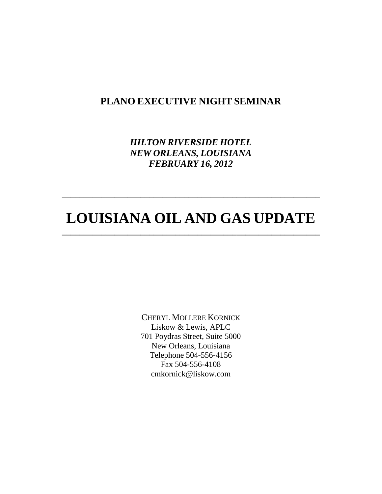## **PLANO EXECUTIVE NIGHT SEMINAR**

*HILTON RIVERSIDE HOTEL NEW ORLEANS, LOUISIANA FEBRUARY 16, 2012*

# **LOUISIANA OIL AND GAS UPDATE \_\_\_\_\_\_\_\_\_\_\_\_\_\_\_\_\_\_\_\_\_\_\_\_\_\_\_\_\_\_\_\_\_\_\_\_\_\_\_\_\_\_\_\_\_\_\_\_\_\_\_\_\_\_\_\_\_\_\_**

**\_\_\_\_\_\_\_\_\_\_\_\_\_\_\_\_\_\_\_\_\_\_\_\_\_\_\_\_\_\_\_\_\_\_\_\_\_\_\_\_\_\_\_\_\_\_\_\_\_\_\_\_\_\_\_\_\_\_\_**

CHERYL MOLLERE KORNICK Liskow & Lewis, APLC 701 Poydras Street, Suite 5000 New Orleans, Louisiana Telephone 504-556-4156 Fax 504-556-4108 cmkornick@liskow.com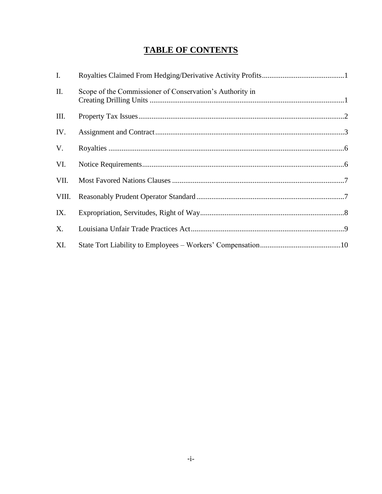## **TABLE OF CONTENTS**

| I.    |                                                          |
|-------|----------------------------------------------------------|
| Π.    | Scope of the Commissioner of Conservation's Authority in |
| Ш.    |                                                          |
| IV.   |                                                          |
| V.    |                                                          |
| VI.   |                                                          |
| VII.  |                                                          |
| VIII. |                                                          |
| IX.   |                                                          |
| X.    |                                                          |
| XI.   |                                                          |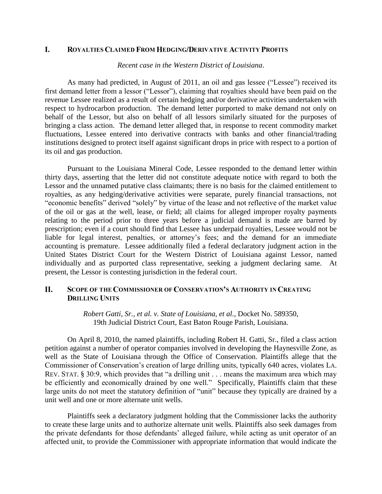#### L. **ROYALTIES CLAIMED FROM HEDGING/DERIVATIVE ACTIVITY PROFITS**

*Recent case in the Western District of Louisiana*.

As many had predicted, in August of 2011, an oil and gas lessee ("Lessee") received its first demand letter from a lessor ("Lessor"), claiming that royalties should have been paid on the revenue Lessee realized as a result of certain hedging and/or derivative activities undertaken with respect to hydrocarbon production. The demand letter purported to make demand not only on behalf of the Lessor, but also on behalf of all lessors similarly situated for the purposes of bringing a class action. The demand letter alleged that, in response to recent commodity market fluctuations, Lessee entered into derivative contracts with banks and other financial/trading institutions designed to protect itself against significant drops in price with respect to a portion of its oil and gas production.

Pursuant to the Louisiana Mineral Code, Lessee responded to the demand letter within thirty days, asserting that the letter did not constitute adequate notice with regard to both the Lessor and the unnamed putative class claimants; there is no basis for the claimed entitlement to royalties, as any hedging/derivative activities were separate, purely financial transactions, not "economic benefits" derived "solely" by virtue of the lease and not reflective of the market value of the oil or gas at the well, lease, or field; all claims for alleged improper royalty payments relating to the period prior to three years before a judicial demand is made are barred by prescription; even if a court should find that Lessee has underpaid royalties, Lessee would not be liable for legal interest, penalties, or attorney's fees; and the demand for an immediate accounting is premature. Lessee additionally filed a federal declaratory judgment action in the United States District Court for the Western District of Louisiana against Lessor, named individually and as purported class representative, seeking a judgment declaring same. At present, the Lessor is contesting jurisdiction in the federal court.

#### **II. SCOPE OF THE COMMISSIONER OF CONSERVATION'S AUTHORITY IN CREATING DRILLING UNITS**

*Robert Gatti, Sr., et al. v. State of Louisiana, et al.*, Docket No. 589350, 19th Judicial District Court, East Baton Rouge Parish, Louisiana.

On April 8, 2010, the named plaintiffs, including Robert H. Gatti, Sr., filed a class action petition against a number of operator companies involved in developing the Haynesville Zone, as well as the State of Louisiana through the Office of Conservation. Plaintiffs allege that the Commissioner of Conservation's creation of large drilling units, typically 640 acres, violates LA. REV. STAT. § 30:9, which provides that "a drilling unit . . . means the maximum area which may be efficiently and economically drained by one well." Specifically, Plaintiffs claim that these large units do not meet the statutory definition of "unit" because they typically are drained by a unit well and one or more alternate unit wells.

Plaintiffs seek a declaratory judgment holding that the Commissioner lacks the authority to create these large units and to authorize alternate unit wells. Plaintiffs also seek damages from the private defendants for those defendants' alleged failure, while acting as unit operator of an affected unit, to provide the Commissioner with appropriate information that would indicate the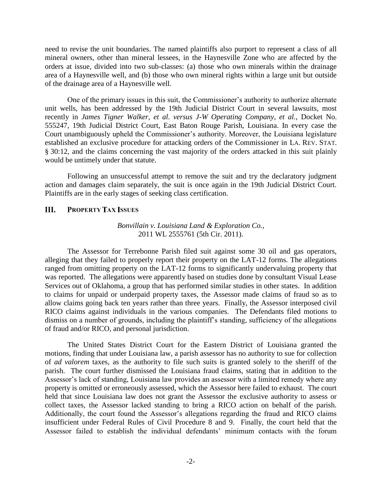need to revise the unit boundaries. The named plaintiffs also purport to represent a class of all mineral owners, other than mineral lessees, in the Haynesville Zone who are affected by the orders at issue, divided into two sub-classes: (a) those who own minerals within the drainage area of a Haynesville well, and (b) those who own mineral rights within a large unit but outside of the drainage area of a Haynesville well.

One of the primary issues in this suit, the Commissioner's authority to authorize alternate unit wells, has been addressed by the 19th Judicial District Court in several lawsuits, most recently in *James Tigner Walker, et al. versus J-W Operating Company, et al.*, Docket No. 555247, 19th Judicial District Court, East Baton Rouge Parish, Louisiana. In every case the Court unambiguously upheld the Commissioner's authority. Moreover, the Louisiana legislature established an exclusive procedure for attacking orders of the Commissioner in LA. REV. STAT. § 30:12, and the claims concerning the vast majority of the orders attacked in this suit plainly would be untimely under that statute.

Following an unsuccessful attempt to remove the suit and try the declaratory judgment action and damages claim separately, the suit is once again in the 19th Judicial District Court. Plaintiffs are in the early stages of seeking class certification.

#### III. **PROPERTY TAX ISSUES**

### *Bonvillain v. Louisiana Land & Exploration Co.*, 2011 WL 2555761 (5th Cir. 2011).

The Assessor for Terrebonne Parish filed suit against some 30 oil and gas operators, alleging that they failed to properly report their property on the LAT-12 forms. The allegations ranged from omitting property on the LAT-12 forms to significantly undervaluing property that was reported. The allegations were apparently based on studies done by consultant Visual Lease Services out of Oklahoma, a group that has performed similar studies in other states. In addition to claims for unpaid or underpaid property taxes, the Assessor made claims of fraud so as to allow claims going back ten years rather than three years. Finally, the Assessor interposed civil RICO claims against individuals in the various companies. The Defendants filed motions to dismiss on a number of grounds, including the plaintiff's standing, sufficiency of the allegations of fraud and/or RICO, and personal jurisdiction.

The United States District Court for the Eastern District of Louisiana granted the motions, finding that under Louisiana law, a parish assessor has no authority to sue for collection of *ad valorem* taxes, as the authority to file such suits is granted solely to the sheriff of the parish. The court further dismissed the Louisiana fraud claims, stating that in addition to the Assessor's lack of standing, Louisiana law provides an assessor with a limited remedy where any property is omitted or erroneously assessed, which the Assessor here failed to exhaust. The court held that since Louisiana law does not grant the Assessor the exclusive authority to assess or collect taxes, the Assessor lacked standing to bring a RICO action on behalf of the parish. Additionally, the court found the Assessor's allegations regarding the fraud and RICO claims insufficient under Federal Rules of Civil Procedure 8 and 9. Finally, the court held that the Assessor failed to establish the individual defendants' minimum contacts with the forum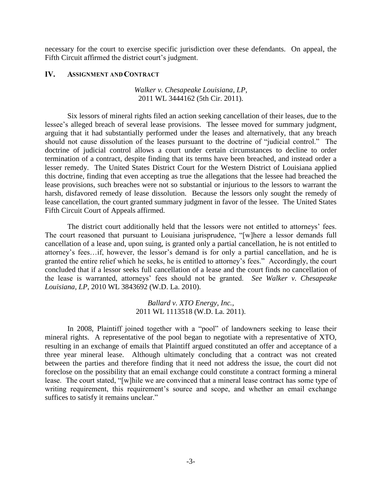necessary for the court to exercise specific jurisdiction over these defendants. On appeal, the Fifth Circuit affirmed the district court's judgment.

#### IV. **ASSIGNMENT AND CONTRACT**

### *Walker v. Chesapeake Louisiana, LP*, 2011 WL 3444162 (5th Cir. 2011).

Six lessors of mineral rights filed an action seeking cancellation of their leases, due to the lessee's alleged breach of several lease provisions. The lessee moved for summary judgment, arguing that it had substantially performed under the leases and alternatively, that any breach should not cause dissolution of the leases pursuant to the doctrine of "judicial control." The doctrine of judicial control allows a court under certain circumstances to decline to order termination of a contract, despite finding that its terms have been breached, and instead order a lesser remedy. The United States District Court for the Western District of Louisiana applied this doctrine, finding that even accepting as true the allegations that the lessee had breached the lease provisions, such breaches were not so substantial or injurious to the lessors to warrant the harsh, disfavored remedy of lease dissolution. Because the lessors only sought the remedy of lease cancellation, the court granted summary judgment in favor of the lessee. The United States Fifth Circuit Court of Appeals affirmed.

The district court additionally held that the lessors were not entitled to attorneys' fees. The court reasoned that pursuant to Louisiana jurisprudence, "[w]here a lessor demands full cancellation of a lease and, upon suing, is granted only a partial cancellation, he is not entitled to attorney's fees…if, however, the lessor's demand is for only a partial cancellation, and he is granted the entire relief which he seeks, he is entitled to attorney's fees." Accordingly, the court concluded that if a lessor seeks full cancellation of a lease and the court finds no cancellation of the lease is warranted, attorneys' fees should not be granted. *See Walker v. Chesapeake Louisiana, LP*, 2010 WL 3843692 (W.D. La. 2010).

> *Ballard v. XTO Energy, Inc.*, 2011 WL 1113518 (W.D. La. 2011).

In 2008, Plaintiff joined together with a "pool" of landowners seeking to lease their mineral rights. A representative of the pool began to negotiate with a representative of XTO, resulting in an exchange of emails that Plaintiff argued constituted an offer and acceptance of a three year mineral lease. Although ultimately concluding that a contract was not created between the parties and therefore finding that it need not address the issue, the court did not foreclose on the possibility that an email exchange could constitute a contract forming a mineral lease. The court stated, "[w]hile we are convinced that a mineral lease contract has some type of writing requirement, this requirement's source and scope, and whether an email exchange suffices to satisfy it remains unclear."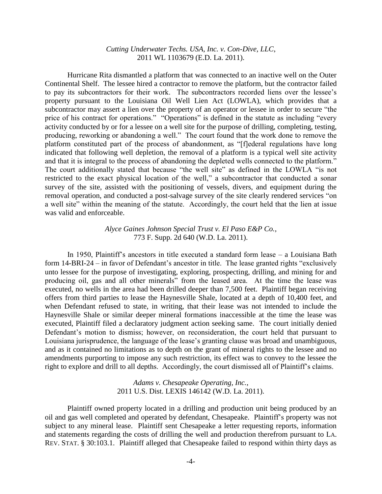## *Cutting Underwater Techs. USA, Inc. v. Con-Dive, LLC*, 2011 WL 1103679 (E.D. La. 2011).

Hurricane Rita dismantled a platform that was connected to an inactive well on the Outer Continental Shelf. The lessee hired a contractor to remove the platform, but the contractor failed to pay its subcontractors for their work. The subcontractors recorded liens over the lessee's property pursuant to the Louisiana Oil Well Lien Act (LOWLA), which provides that a subcontractor may assert a lien over the property of an operator or lessee in order to secure "the price of his contract for operations." "Operations" is defined in the statute as including "every activity conducted by or for a lessee on a well site for the purpose of drilling, completing, testing, producing, reworking or abandoning a well." The court found that the work done to remove the platform constituted part of the process of abandonment, as "[f]ederal regulations have long indicated that following well depletion, the removal of a platform is a typical well site activity and that it is integral to the process of abandoning the depleted wells connected to the platform." The court additionally stated that because "the well site" as defined in the LOWLA "is not restricted to the exact physical location of the well," a subcontractor that conducted a sonar survey of the site, assisted with the positioning of vessels, divers, and equipment during the removal operation, and conducted a post-salvage survey of the site clearly rendered services "on a well site" within the meaning of the statute. Accordingly, the court held that the lien at issue was valid and enforceable.

### *Alyce Gaines Johnson Special Trust v. El Paso E&P Co.*, 773 F. Supp. 2d 640 (W.D. La. 2011).

In 1950, Plaintiff's ancestors in title executed a standard form lease – a Louisiana Bath form 14-BRI-24 – in favor of Defendant's ancestor in title. The lease granted rights "exclusively unto lessee for the purpose of investigating, exploring, prospecting, drilling, and mining for and producing oil, gas and all other minerals" from the leased area. At the time the lease was executed, no wells in the area had been drilled deeper than 7,500 feet. Plaintiff began receiving offers from third parties to lease the Haynesville Shale, located at a depth of 10,400 feet, and when Defendant refused to state, in writing, that their lease was not intended to include the Haynesville Shale or similar deeper mineral formations inaccessible at the time the lease was executed, Plaintiff filed a declaratory judgment action seeking same. The court initially denied Defendant's motion to dismiss; however, on reconsideration, the court held that pursuant to Louisiana jurisprudence, the language of the lease's granting clause was broad and unambiguous, and as it contained no limitations as to depth on the grant of mineral rights to the lessee and no amendments purporting to impose any such restriction, its effect was to convey to the lessee the right to explore and drill to all depths. Accordingly, the court dismissed all of Plaintiff's claims.

> *Adams v. Chesapeake Operating, Inc.*, 2011 U.S. Dist. LEXIS 146142 (W.D. La. 2011).

Plaintiff owned property located in a drilling and production unit being produced by an oil and gas well completed and operated by defendant, Chesapeake. Plaintiff's property was not subject to any mineral lease. Plaintiff sent Chesapeake a letter requesting reports, information and statements regarding the costs of drilling the well and production therefrom pursuant to LA. REV. STAT. § 30:103.1. Plaintiff alleged that Chesapeake failed to respond within thirty days as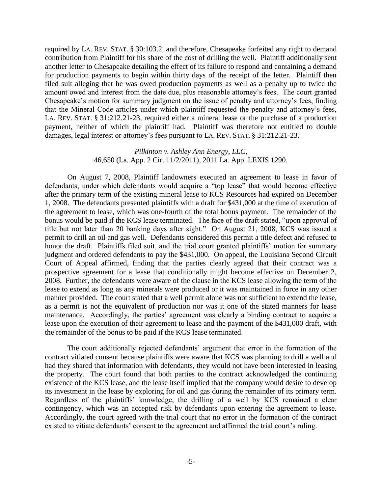required by LA. REV. STAT. § 30:103.2, and therefore, Chesapeake forfeited any right to demand contribution from Plaintiff for his share of the cost of drilling the well. Plaintiff additionally sent another letter to Chesapeake detailing the effect of its failure to respond and containing a demand for production payments to begin within thirty days of the receipt of the letter. Plaintiff then filed suit alleging that he was owed production payments as well as a penalty up to twice the amount owed and interest from the date due, plus reasonable attorney's fees. The court granted Chesapeake's motion for summary judgment on the issue of penalty and attorney's fees, finding that the Mineral Code articles under which plaintiff requested the penalty and attorney's fees, LA. REV. STAT. § 31:212.21-23, required either a mineral lease or the purchase of a production payment, neither of which the plaintiff had. Plaintiff was therefore not entitled to double damages, legal interest or attorney's fees pursuant to LA. REV. STAT. § 31:212.21-23.

### *Pilkinton v. Ashley Ann Energy, LLC*, 46,650 (La. App. 2 Cir. 11/2/2011), 2011 La. App. LEXIS 1290.

On August 7, 2008, Plaintiff landowners executed an agreement to lease in favor of defendants, under which defendants would acquire a "top lease" that would become effective after the primary term of the existing mineral lease to KCS Resources had expired on December 1, 2008. The defendants presented plaintiffs with a draft for \$431,000 at the time of execution of the agreement to lease, which was one-fourth of the total bonus payment. The remainder of the bonus would be paid if the KCS lease terminated. The face of the draft stated, "upon approval of title but not later than 20 banking days after sight." On August 21, 2008, KCS was issued a permit to drill an oil and gas well. Defendants considered this permit a title defect and refused to honor the draft. Plaintiffs filed suit, and the trial court granted plaintiffs' motion for summary judgment and ordered defendants to pay the \$431,000. On appeal, the Louisiana Second Circuit Court of Appeal affirmed, finding that the parties clearly agreed that their contract was a prospective agreement for a lease that conditionally might become effective on December 2, 2008. Further, the defendants were aware of the clause in the KCS lease allowing the term of the lease to extend as long as any minerals were produced or it was maintained in force in any other manner provided. The court stated that a well permit alone was not sufficient to extend the lease, as a permit is not the equivalent of production nor was it one of the stated manners for lease maintenance. Accordingly, the parties' agreement was clearly a binding contract to acquire a lease upon the execution of their agreement to lease and the payment of the \$431,000 draft, with the remainder of the bonus to be paid if the KCS lease terminated.

The court additionally rejected defendants' argument that error in the formation of the contract vitiated consent because plaintiffs were aware that KCS was planning to drill a well and had they shared that information with defendants, they would not have been interested in leasing the property. The court found that both parties to the contract acknowledged the continuing existence of the KCS lease, and the lease itself implied that the company would desire to develop its investment in the lease by exploring for oil and gas during the remainder of its primary term. Regardless of the plaintiffs' knowledge, the drilling of a well by KCS remained a clear contingency, which was an accepted risk by defendants upon entering the agreement to lease. Accordingly, the court agreed with the trial court that no error in the formation of the contract existed to vitiate defendants' consent to the agreement and affirmed the trial court's ruling.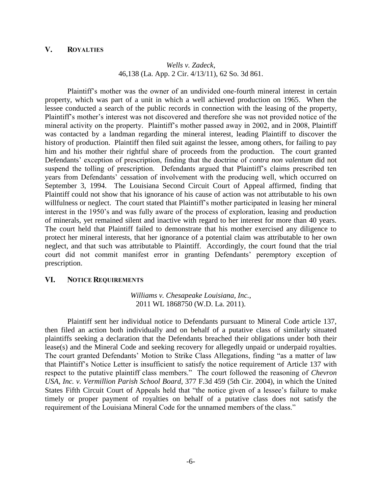## *Wells v. Zadeck*, 46,138 (La. App. 2 Cir. 4/13/11), 62 So. 3d 861.

Plaintiff's mother was the owner of an undivided one-fourth mineral interest in certain property, which was part of a unit in which a well achieved production on 1965. When the lessee conducted a search of the public records in connection with the leasing of the property, Plaintiff's mother's interest was not discovered and therefore she was not provided notice of the mineral activity on the property. Plaintiff's mother passed away in 2002, and in 2008, Plaintiff was contacted by a landman regarding the mineral interest, leading Plaintiff to discover the history of production. Plaintiff then filed suit against the lessee, among others, for failing to pay him and his mother their rightful share of proceeds from the production. The court granted Defendants' exception of prescription, finding that the doctrine of *contra non valentum* did not suspend the tolling of prescription. Defendants argued that Plaintiff's claims prescribed ten years from Defendants' cessation of involvement with the producing well, which occurred on September 3, 1994. The Louisiana Second Circuit Court of Appeal affirmed, finding that Plaintiff could not show that his ignorance of his cause of action was not attributable to his own willfulness or neglect. The court stated that Plaintiff's mother participated in leasing her mineral interest in the 1950's and was fully aware of the process of exploration, leasing and production of minerals, yet remained silent and inactive with regard to her interest for more than 40 years. The court held that Plaintiff failed to demonstrate that his mother exercised any diligence to protect her mineral interests, that her ignorance of a potential claim was attributable to her own neglect, and that such was attributable to Plaintiff. Accordingly, the court found that the trial court did not commit manifest error in granting Defendants' peremptory exception of prescription.

#### VI. **NOTICE REQUIREMENTS**

*Williams v. Chesapeake Louisiana, Inc.*, 2011 WL 1868750 (W.D. La. 2011).

Plaintiff sent her individual notice to Defendants pursuant to Mineral Code article 137, then filed an action both individually and on behalf of a putative class of similarly situated plaintiffs seeking a declaration that the Defendants breached their obligations under both their lease(s) and the Mineral Code and seeking recovery for allegedly unpaid or underpaid royalties. The court granted Defendants' Motion to Strike Class Allegations, finding "as a matter of law that Plaintiff's Notice Letter is insufficient to satisfy the notice requirement of Article 137 with respect to the putative plaintiff class members." The court followed the reasoning of *Chevron USA, Inc. v. Vermillion Parish School Board*, 377 F.3d 459 (5th Cir. 2004), in which the United States Fifth Circuit Court of Appeals held that "the notice given of a lessee's failure to make timely or proper payment of royalties on behalf of a putative class does not satisfy the requirement of the Louisiana Mineral Code for the unnamed members of the class."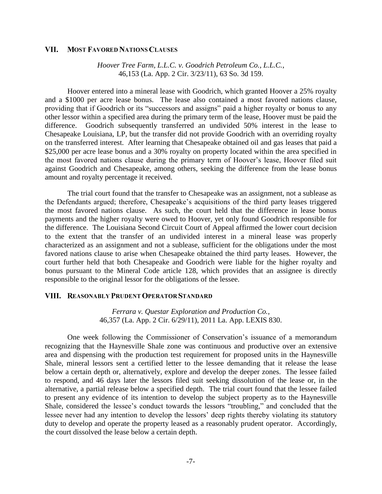#### VII. **MOST FAVORED NATIONS CLAUSES**

*Hoover Tree Farm, L.L.C. v. Goodrich Petroleum Co., L.L.C.*, 46,153 (La. App. 2 Cir. 3/23/11), 63 So. 3d 159.

Hoover entered into a mineral lease with Goodrich, which granted Hoover a 25% royalty and a \$1000 per acre lease bonus. The lease also contained a most favored nations clause, providing that if Goodrich or its "successors and assigns" paid a higher royalty or bonus to any other lessor within a specified area during the primary term of the lease, Hoover must be paid the difference. Goodrich subsequently transferred an undivided 50% interest in the lease to Chesapeake Louisiana, LP, but the transfer did not provide Goodrich with an overriding royalty on the transferred interest. After learning that Chesapeake obtained oil and gas leases that paid a \$25,000 per acre lease bonus and a 30% royalty on property located within the area specified in the most favored nations clause during the primary term of Hoover's lease, Hoover filed suit against Goodrich and Chesapeake, among others, seeking the difference from the lease bonus amount and royalty percentage it received.

The trial court found that the transfer to Chesapeake was an assignment, not a sublease as the Defendants argued; therefore, Chesapeake's acquisitions of the third party leases triggered the most favored nations clause. As such, the court held that the difference in lease bonus payments and the higher royalty were owed to Hoover, yet only found Goodrich responsible for the difference. The Louisiana Second Circuit Court of Appeal affirmed the lower court decision to the extent that the transfer of an undivided interest in a mineral lease was properly characterized as an assignment and not a sublease, sufficient for the obligations under the most favored nations clause to arise when Chesapeake obtained the third party leases. However, the court further held that both Chesapeake and Goodrich were liable for the higher royalty and bonus pursuant to the Mineral Code article 128, which provides that an assignee is directly responsible to the original lessor for the obligations of the lessee.

### VIII. REASONABLY PRUDENT OPERATOR STANDARD

### *Ferrara v. Questar Exploration and Production Co.*, 46,357 (La. App. 2 Cir. 6/29/11), 2011 La. App. LEXIS 830.

One week following the Commissioner of Conservation's issuance of a memorandum recognizing that the Haynesville Shale zone was continuous and productive over an extensive area and dispensing with the production test requirement for proposed units in the Haynesville Shale, mineral lessors sent a certified letter to the lessee demanding that it release the lease below a certain depth or, alternatively, explore and develop the deeper zones. The lessee failed to respond, and 46 days later the lessors filed suit seeking dissolution of the lease or, in the alternative, a partial release below a specified depth. The trial court found that the lessee failed to present any evidence of its intention to develop the subject property as to the Haynesville Shale, considered the lessee's conduct towards the lessors "troubling," and concluded that the lessee never had any intention to develop the lessors' deep rights thereby violating its statutory duty to develop and operate the property leased as a reasonably prudent operator. Accordingly, the court dissolved the lease below a certain depth.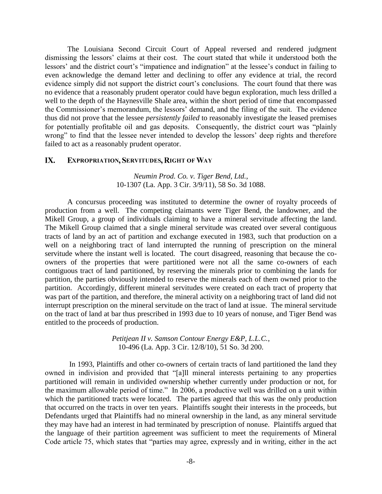The Louisiana Second Circuit Court of Appeal reversed and rendered judgment dismissing the lessors' claims at their cost. The court stated that while it understood both the lessors' and the district court's "impatience and indignation" at the lessee's conduct in failing to even acknowledge the demand letter and declining to offer any evidence at trial, the record evidence simply did not support the district court's conclusions. The court found that there was no evidence that a reasonably prudent operator could have begun exploration, much less drilled a well to the depth of the Haynesville Shale area, within the short period of time that encompassed the Commissioner's memorandum, the lessors' demand, and the filing of the suit. The evidence thus did not prove that the lessee *persistently failed* to reasonably investigate the leased premises for potentially profitable oil and gas deposits. Consequently, the district court was "plainly wrong" to find that the lessee never intended to develop the lessors' deep rights and therefore failed to act as a reasonably prudent operator.

#### **IX. EXPROPRIATION, SERVITUDES, RIGHT OF WAY**

### *Neumin Prod. Co. v. Tiger Bend, Ltd.*, 10-1307 (La. App. 3 Cir. 3/9/11), 58 So. 3d 1088.

A concursus proceeding was instituted to determine the owner of royalty proceeds of production from a well. The competing claimants were Tiger Bend, the landowner, and the Mikell Group, a group of individuals claiming to have a mineral servitude affecting the land. The Mikell Group claimed that a single mineral servitude was created over several contiguous tracts of land by an act of partition and exchange executed in 1983, such that production on a well on a neighboring tract of land interrupted the running of prescription on the mineral servitude where the instant well is located. The court disagreed, reasoning that because the coowners of the properties that were partitioned were not all the same co-owners of each contiguous tract of land partitioned, by reserving the minerals prior to combining the lands for partition, the parties obviously intended to reserve the minerals each of them owned prior to the partition. Accordingly, different mineral servitudes were created on each tract of property that was part of the partition, and therefore, the mineral activity on a neighboring tract of land did not interrupt prescription on the mineral servitude on the tract of land at issue. The mineral servitude on the tract of land at bar thus prescribed in 1993 due to 10 years of nonuse, and Tiger Bend was entitled to the proceeds of production.

> *Petitjean II v. Samson Contour Energy E&P, L.L.C.*, 10-496 (La. App. 3 Cir. 12/8/10), 51 So. 3d 200.

In 1993, Plaintiffs and other co-owners of certain tracts of land partitioned the land they owned in indivision and provided that "[a]ll mineral interests pertaining to any properties partitioned will remain in undivided ownership whether currently under production or not, for the maximum allowable period of time." In 2006, a productive well was drilled on a unit within which the partitioned tracts were located. The parties agreed that this was the only production that occurred on the tracts in over ten years. Plaintiffs sought their interests in the proceeds, but Defendants urged that Plaintiffs had no mineral ownership in the land, as any mineral servitude they may have had an interest in had terminated by prescription of nonuse. Plaintiffs argued that the language of their partition agreement was sufficient to meet the requirements of Mineral Code article 75, which states that "parties may agree, expressly and in writing, either in the act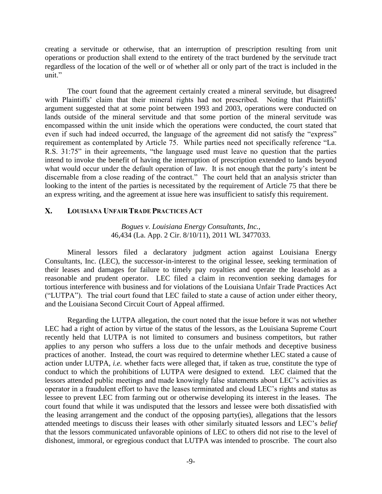creating a servitude or otherwise, that an interruption of prescription resulting from unit operations or production shall extend to the entirety of the tract burdened by the servitude tract regardless of the location of the well or of whether all or only part of the tract is included in the unit."

The court found that the agreement certainly created a mineral servitude, but disagreed with Plaintiffs' claim that their mineral rights had not prescribed. Noting that Plaintiffs' argument suggested that at some point between 1993 and 2003, operations were conducted on lands outside of the mineral servitude and that some portion of the mineral servitude was encompassed within the unit inside which the operations were conducted, the court stated that even if such had indeed occurred, the language of the agreement did not satisfy the "express" requirement as contemplated by Article 75. While parties need not specifically reference "La. R.S. 31:75" in their agreements, "the language used must leave no question that the parties intend to invoke the benefit of having the interruption of prescription extended to lands beyond what would occur under the default operation of law. It is not enough that the party's intent be discernable from a close reading of the contract." The court held that an analysis stricter than looking to the intent of the parties is necessitated by the requirement of Article 75 that there be an express writing, and the agreement at issue here was insufficient to satisfy this requirement.

#### $\mathbf{X}$ . **LOUISIANA UNFAIR TRADE PRACTICES ACT**

### *Bogues v. Louisiana Energy Consultants, Inc.*, 46,434 (La. App. 2 Cir. 8/10/11), 2011 WL 3477033.

Mineral lessors filed a declaratory judgment action against Louisiana Energy Consultants, Inc. (LEC), the successor-in-interest to the original lessee, seeking termination of their leases and damages for failure to timely pay royalties and operate the leasehold as a reasonable and prudent operator. LEC filed a claim in reconvention seeking damages for tortious interference with business and for violations of the Louisiana Unfair Trade Practices Act ("LUTPA"). The trial court found that LEC failed to state a cause of action under either theory, and the Louisiana Second Circuit Court of Appeal affirmed.

Regarding the LUTPA allegation, the court noted that the issue before it was not whether LEC had a right of action by virtue of the status of the lessors, as the Louisiana Supreme Court recently held that LUTPA is not limited to consumers and business competitors, but rather applies to any person who suffers a loss due to the unfair methods and deceptive business practices of another. Instead, the court was required to determine whether LEC stated a cause of action under LUTPA, *i.e.* whether facts were alleged that, if taken as true, constitute the type of conduct to which the prohibitions of LUTPA were designed to extend. LEC claimed that the lessors attended public meetings and made knowingly false statements about LEC's activities as operator in a fraudulent effort to have the leases terminated and cloud LEC's rights and status as lessee to prevent LEC from farming out or otherwise developing its interest in the leases. The court found that while it was undisputed that the lessors and lessee were both dissatisfied with the leasing arrangement and the conduct of the opposing party(ies), allegations that the lessors attended meetings to discuss their leases with other similarly situated lessors and LEC's *belief* that the lessors communicated unfavorable opinions of LEC to others did not rise to the level of dishonest, immoral, or egregious conduct that LUTPA was intended to proscribe. The court also